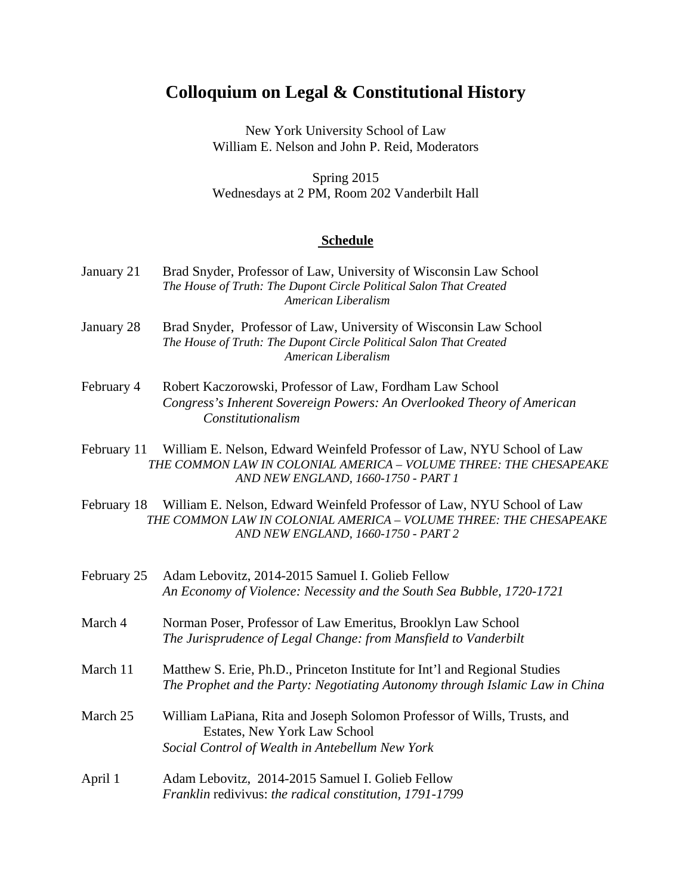## **Colloquium on Legal & Constitutional History**

New York University School of Law William E. Nelson and John P. Reid, Moderators

Spring 2015 Wednesdays at 2 PM, Room 202 Vanderbilt Hall

## **Schedule**

- January 21 Brad Snyder, Professor of Law, University of Wisconsin Law School *The House of Truth: The Dupont Circle Political Salon That Created American Liberalism*
- January 28 Brad Snyder, Professor of Law, University of Wisconsin Law School *The House of Truth: The Dupont Circle Political Salon That Created American Liberalism*
- February 4 Robert Kaczorowski, Professor of Law, Fordham Law School *Congress's Inherent Sovereign Powers: An Overlooked Theory of American Constitutionalism*
- February 11 William E. Nelson, Edward Weinfeld Professor of Law, NYU School of Law  *THE COMMON LAW IN COLONIAL AMERICA – VOLUME THREE: THE CHESAPEAKE AND NEW ENGLAND, 1660-1750 - PART 1*
- February 18 William E. Nelson, Edward Weinfeld Professor of Law, NYU School of Law  *THE COMMON LAW IN COLONIAL AMERICA – VOLUME THREE: THE CHESAPEAKE AND NEW ENGLAND, 1660-1750 - PART 2*

| February 25 | Adam Lebovitz, 2014-2015 Samuel I. Golieb Fellow<br>An Economy of Violence: Necessity and the South Sea Bubble, 1720-1721                                   |
|-------------|-------------------------------------------------------------------------------------------------------------------------------------------------------------|
| March 4     | Norman Poser, Professor of Law Emeritus, Brooklyn Law School<br>The Jurisprudence of Legal Change: from Mansfield to Vanderbilt                             |
| March 11    | Matthew S. Erie, Ph.D., Princeton Institute for Int'l and Regional Studies<br>The Prophet and the Party: Negotiating Autonomy through Islamic Law in China  |
| March 25    | William LaPiana, Rita and Joseph Solomon Professor of Wills, Trusts, and<br>Estates, New York Law School<br>Social Control of Wealth in Antebellum New York |
| April 1     | Adam Lebovitz, 2014-2015 Samuel I. Golieb Fellow<br>Franklin redivivus: the radical constitution, 1791-1799                                                 |